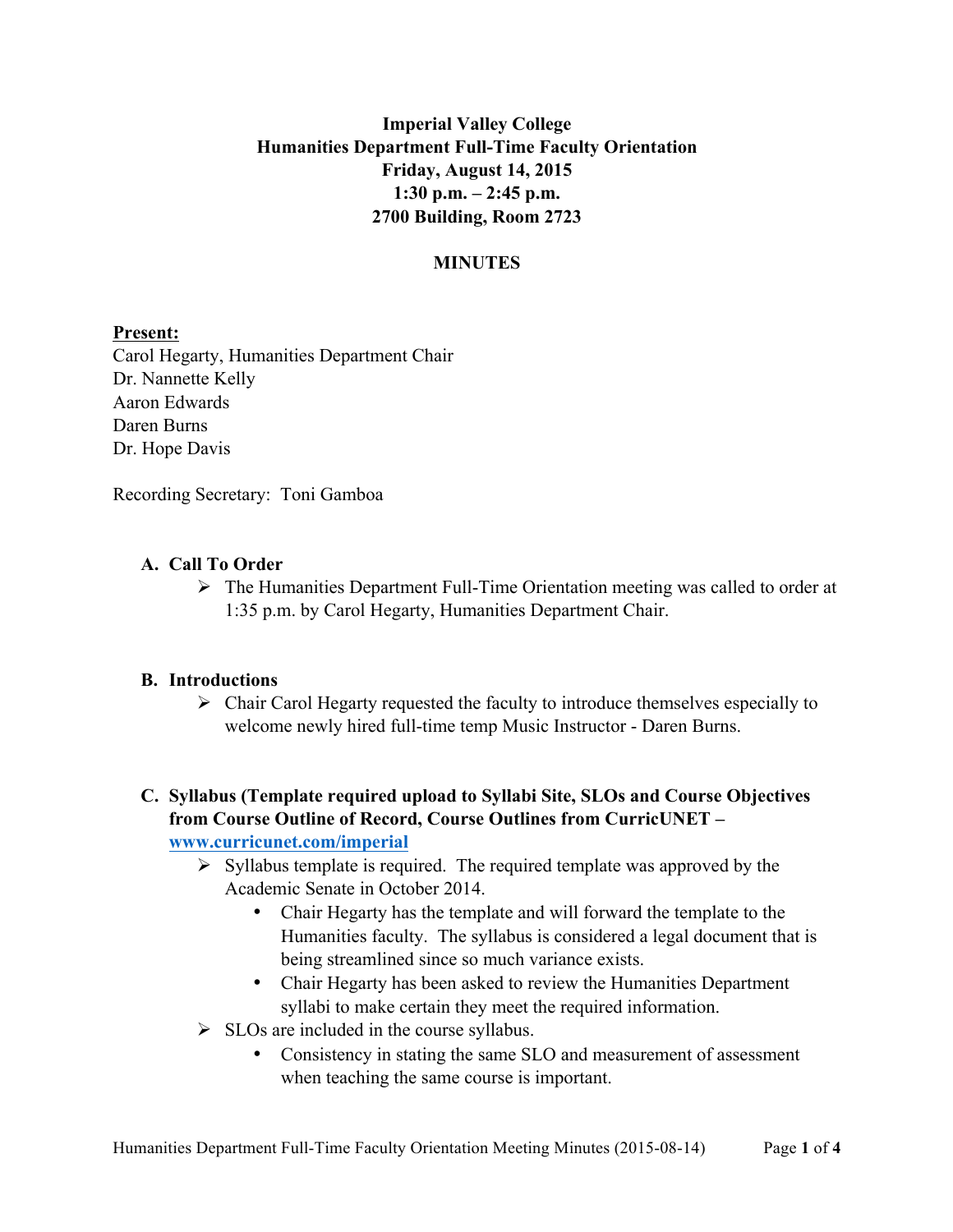# **Imperial Valley College Humanities Department Full-Time Faculty Orientation Friday, August 14, 2015 1:30 p.m. – 2:45 p.m. 2700 Building, Room 2723**

### **MINUTES**

#### **Present:**

Carol Hegarty, Humanities Department Chair Dr. Nannette Kelly Aaron Edwards Daren Burns Dr. Hope Davis

Recording Secretary: Toni Gamboa

### **A. Call To Order**

 $\triangleright$  The Humanities Department Full-Time Orientation meeting was called to order at 1:35 p.m. by Carol Hegarty, Humanities Department Chair.

### **B. Introductions**

 $\triangleright$  Chair Carol Hegarty requested the faculty to introduce themselves especially to welcome newly hired full-time temp Music Instructor - Daren Burns.

### **C. Syllabus (Template required upload to Syllabi Site, SLOs and Course Objectives from Course Outline of Record, Course Outlines from CurricUNET – www.curricunet.com/imperial**

- $\triangleright$  Syllabus template is required. The required template was approved by the Academic Senate in October 2014.
	- Chair Hegarty has the template and will forward the template to the Humanities faculty. The syllabus is considered a legal document that is being streamlined since so much variance exists.
	- Chair Hegarty has been asked to review the Humanities Department syllabi to make certain they meet the required information.
- $\triangleright$  SLOs are included in the course syllabus.
	- Consistency in stating the same SLO and measurement of assessment when teaching the same course is important.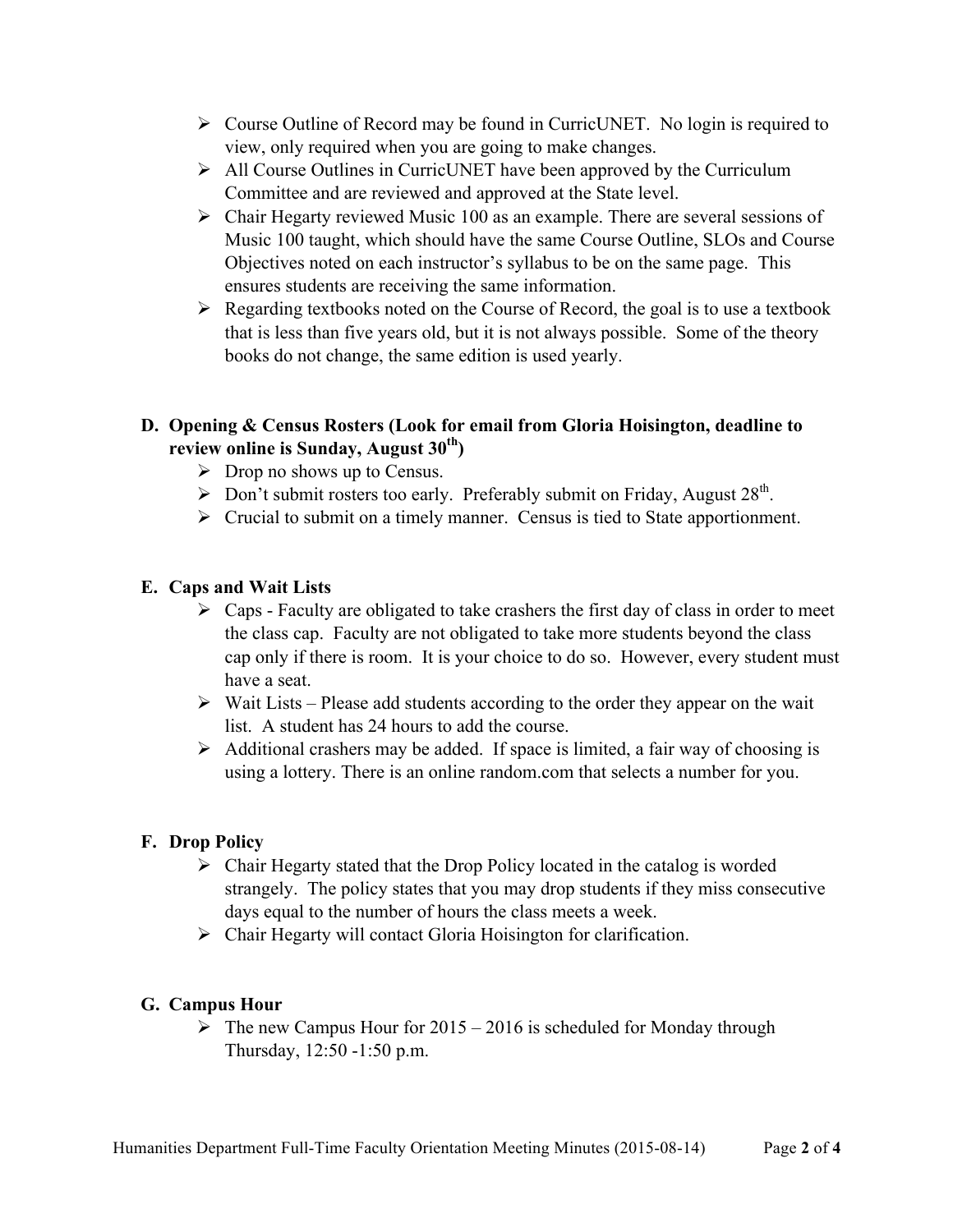- $\triangleright$  Course Outline of Record may be found in CurricUNET. No login is required to view, only required when you are going to make changes.
- $\triangleright$  All Course Outlines in CurricUNET have been approved by the Curriculum Committee and are reviewed and approved at the State level.
- $\triangleright$  Chair Hegarty reviewed Music 100 as an example. There are several sessions of Music 100 taught, which should have the same Course Outline, SLOs and Course Objectives noted on each instructor's syllabus to be on the same page. This ensures students are receiving the same information.
- $\triangleright$  Regarding textbooks noted on the Course of Record, the goal is to use a textbook that is less than five years old, but it is not always possible. Some of the theory books do not change, the same edition is used yearly.

### **D. Opening & Census Rosters (Look for email from Gloria Hoisington, deadline to review online is Sunday, August 30th)**

- $\triangleright$  Drop no shows up to Census.
- $\triangleright$  Don't submit rosters too early. Preferably submit on Friday, August 28<sup>th</sup>.
- $\triangleright$  Crucial to submit on a timely manner. Census is tied to State apportionment.

### **E. Caps and Wait Lists**

- $\triangleright$  Caps Faculty are obligated to take crashers the first day of class in order to meet the class cap. Faculty are not obligated to take more students beyond the class cap only if there is room. It is your choice to do so. However, every student must have a seat.
- $\triangleright$  Wait Lists Please add students according to the order they appear on the wait list. A student has 24 hours to add the course.
- $\triangleright$  Additional crashers may be added. If space is limited, a fair way of choosing is using a lottery. There is an online random.com that selects a number for you.

### **F. Drop Policy**

- $\triangleright$  Chair Hegarty stated that the Drop Policy located in the catalog is worded strangely. The policy states that you may drop students if they miss consecutive days equal to the number of hours the class meets a week.
- $\triangleright$  Chair Hegarty will contact Gloria Hoisington for clarification.

### **G. Campus Hour**

 $\triangleright$  The new Campus Hour for 2015 – 2016 is scheduled for Monday through Thursday, 12:50 -1:50 p.m.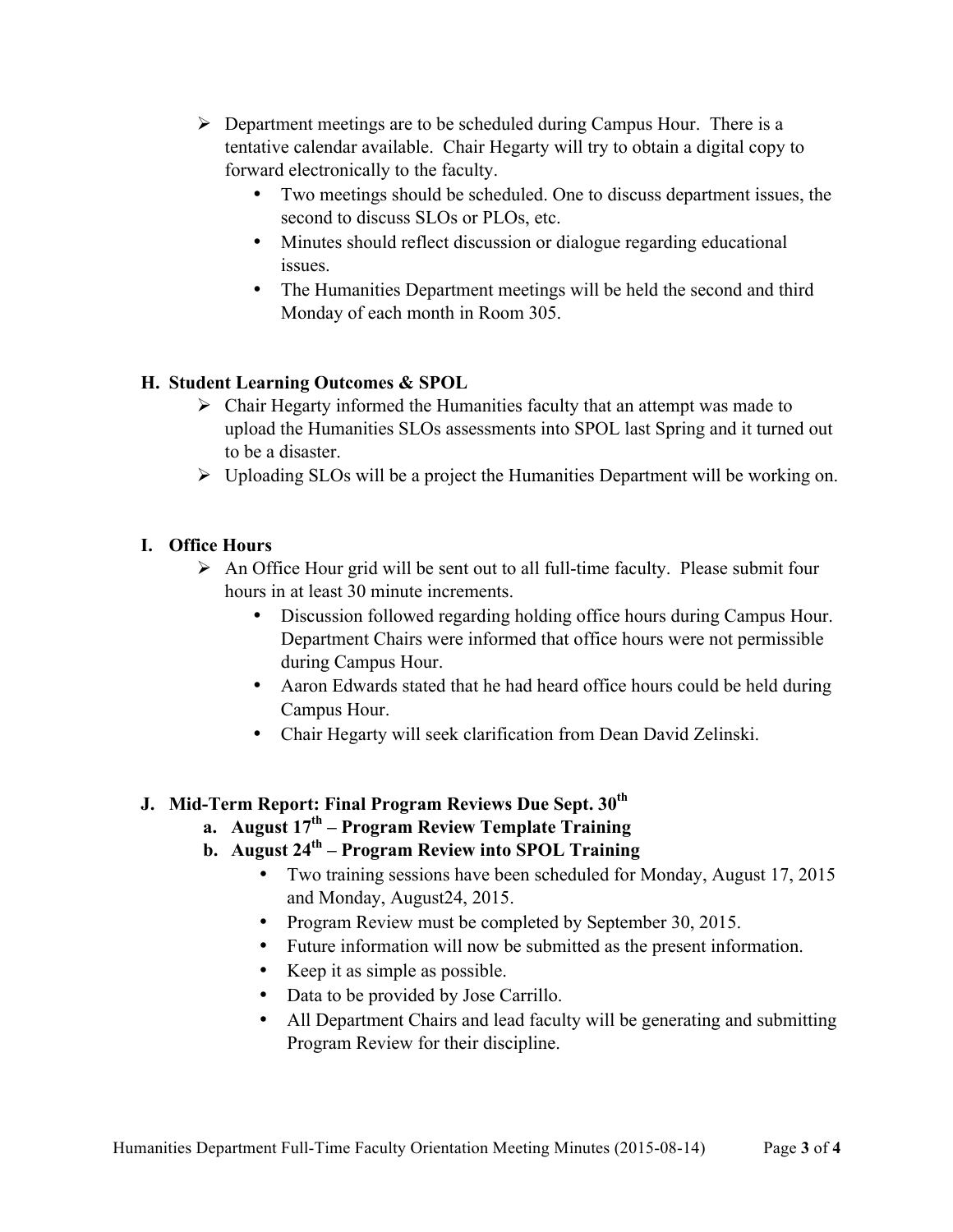- $\triangleright$  Department meetings are to be scheduled during Campus Hour. There is a tentative calendar available. Chair Hegarty will try to obtain a digital copy to forward electronically to the faculty.
	- Two meetings should be scheduled. One to discuss department issues, the second to discuss SLOs or PLOs, etc.
	- Minutes should reflect discussion or dialogue regarding educational issues.
	- The Humanities Department meetings will be held the second and third Monday of each month in Room 305.

## **H. Student Learning Outcomes & SPOL**

- $\triangleright$  Chair Hegarty informed the Humanities faculty that an attempt was made to upload the Humanities SLOs assessments into SPOL last Spring and it turned out to be a disaster.
- $\triangleright$  Uploading SLOs will be a project the Humanities Department will be working on.

### **I. Office Hours**

- $\triangleright$  An Office Hour grid will be sent out to all full-time faculty. Please submit four hours in at least 30 minute increments.
	- Discussion followed regarding holding office hours during Campus Hour. Department Chairs were informed that office hours were not permissible during Campus Hour.
	- Aaron Edwards stated that he had heard office hours could be held during Campus Hour.
	- Chair Hegarty will seek clarification from Dean David Zelinski.

### **J. Mid-Term Report: Final Program Reviews Due Sept. 30th**

- **a. August 17th – Program Review Template Training**
- **b. August 24th – Program Review into SPOL Training**
	- Two training sessions have been scheduled for Monday, August 17, 2015 and Monday, August24, 2015.
	- Program Review must be completed by September 30, 2015.
	- Future information will now be submitted as the present information.
	- Keep it as simple as possible.
	- Data to be provided by Jose Carrillo.
	- All Department Chairs and lead faculty will be generating and submitting Program Review for their discipline.